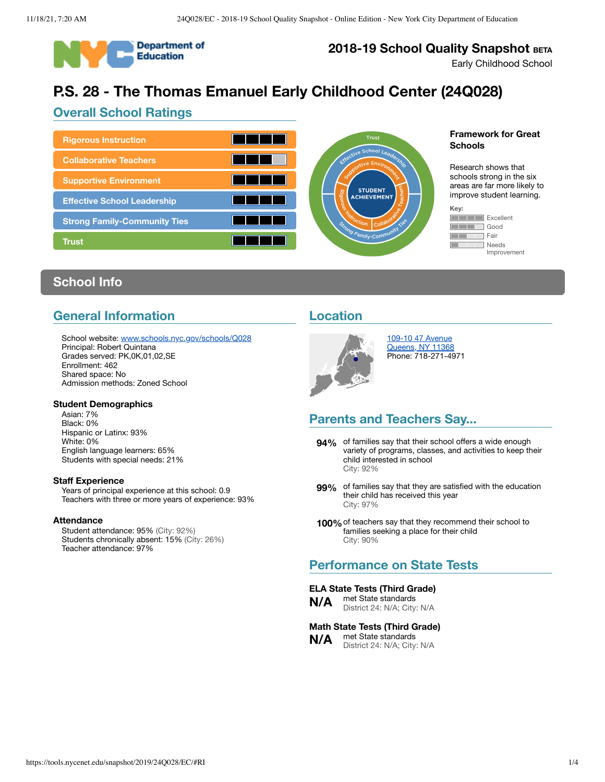

## **2018-19 School Quality Snapshot BETA**

Early Childhood School

# **P.S. 28 - The Thomas Emanuel Early Childhood Center (24Q028)**

## **Overall School Ratings**



#### **Framework for Great Schools**

Research shows that schools strong in the six areas are far more likely to improve student learning.

| ņ |              |
|---|--------------|
|   | Excellent    |
|   | Good         |
|   | Fair         |
|   | <b>Needs</b> |
|   | Improvement  |

## **School Info**

## **General Information**

School website: [www.schools.nyc.gov/schools/Q028](https://www.schools.nyc.gov/schools/Q028) Principal: Robert Quintana Grades served: PK,0K,01,02,SE Enrollment: 462 Shared space: No Admission methods: Zoned School

**Student Demographics** Asian: 7% Black: 0% Hispanic or Latinx: 93% White: 0% English language learners: 65% Students with special needs: 21%

#### **Staff Experience**

Years of principal experience at this school: 0.9 Teachers with three or more years of experience: 93%

#### **Attendance**

Student attendance: 95% (City: 92%) Students chronically absent: 15% (City: 26%) Teacher attendance: 97%

## **Location**



109-10 47 [Avenue](https://www.google.com/maps/place/109-10+47+Avenue,+Queens,+NY+11368) [Queens,](https://www.google.com/maps/place/109-10+47+Avenue,+Queens,+NY+11368) NY 11368 Phone: 718-271-4971

## **Parents and Teachers Say...**

- **94%** of families say that their school offers a wide enough variety of programs, classes, and activities to keep their child interested in school City: 92%
- **99%** of families say that they are satisfied with the education their child has received this year City: 97%
- **100%**of teachers say that they recommend their school to families seeking a place for their child City: 90%

## **Performance on State Tests**

#### **ELA State Tests (Third Grade)**

**N/A** met State standards District 24: N/A; City: N/A

#### **Math State Tests (Third Grade) N/A** met State standards

District 24: N/A; City: N/A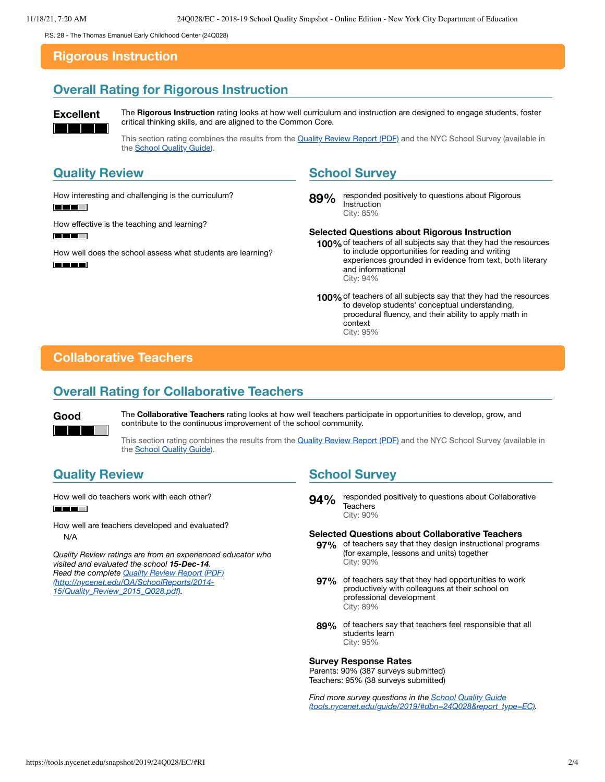<span id="page-1-0"></span>P.S. 28 - The Thomas Emanuel Early Childhood Center (24Q028)

#### **Rigorous Instruction**

## **Overall Rating for Rigorous Instruction**

**Excellent** The Rigorous Instruction rating looks at how well curriculum and instruction are designed to engage students, foster critical thinking skills, and are aligned to the Common Core.

> This section rating combines the results from the [Quality Review](https://www.nycenet.edu/OA/SchoolReports/2014-15/Quality_Review_2015_Q028.pdf) Report (PDF) and the NYC School Survey (available in the **School [Quality Guide](https://tools.nycenet.edu/guide/2019/#dbn=24Q028&report_type=EC)**).

## **Quality Review**

How interesting and challenging is the curriculum? l and **TELEVISION** 

How effective is the teaching and learning?

**REE** 

How well does the school assess what students are learning? **THE REAL PROPERTY** 

#### **School Survey**

89% responded positively to questions about Rigorous Instruction City: 85%

#### **Selected Questions about Rigorous Instruction**

**100%**of teachers of all subjects say that they had the resources to include opportunities for reading and writing experiences grounded in evidence from text, both literary and informational City: 94%

**100%**of teachers of all subjects say that they had the resources to develop students' conceptual understanding, procedural fluency, and their ability to apply math in context City: 95%

## <span id="page-1-1"></span>**Collaborative Teachers**

#### **Overall Rating for Collaborative Teachers**



**Good** The **Collaborative Teachers** rating looks at how well teachers participate in opportunities to develop, grow, and contribute to the continuous improvement of the school community.

> This section rating combines the results from the [Quality Review](https://www.nycenet.edu/OA/SchoolReports/2014-15/Quality_Review_2015_Q028.pdf) Report (PDF) and the NYC School Survey (available in the School [Quality Guide](https://tools.nycenet.edu/guide/2019/#dbn=24Q028&report_type=EC)).

## **Quality Review**

How well do teachers work with each other? **THE LEADER** 

How well are teachers developed and evaluated? N/A

*Quality Review ratings are from an experienced educator who visited and evaluated the school 15-Dec-14. Read the complete Quality Review Report (PDF) [\(http://nycenet.edu/OA/SchoolReports/2014-](http://nycenet.edu/OA/SchoolReports/2014-15/Quality_Review_2015_Q028.pdf) 15/Quality\_Review\_2015\_Q028.pdf).*

### **School Survey**

**94%** responded positively to questions about Collaborative **Teachers** City: 90%

#### **Selected Questions about Collaborative Teachers**

- **97%** of teachers say that they design instructional programs (for example, lessons and units) together City: 90%
- **97%** of teachers say that they had opportunities to work productively with colleagues at their school on professional development City: 89%
- **89%** of teachers say that teachers feel responsible that all students learn City: 95%

#### **Survey Response Rates**

Parents: 90% (387 surveys submitted) Teachers: 95% (38 surveys submitted)

*Find more survey questions in the School Quality Guide [\(tools.nycenet.edu/guide/2019/#dbn=24Q028&report\\_type=EC\).](https://tools.nycenet.edu/guide/2019/#dbn=24Q028&report_type=EC)*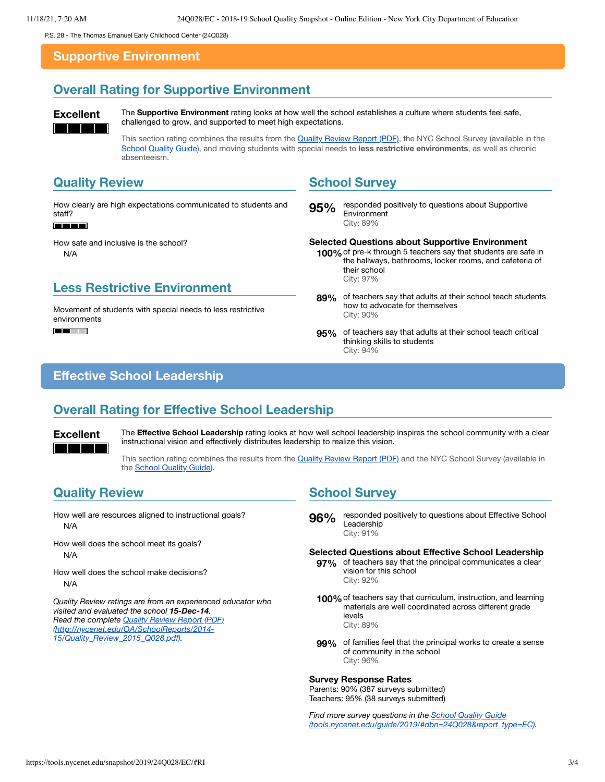<span id="page-2-0"></span>P.S. 28 - The Thomas Emanuel Early Childhood Center (24Q028)

#### **Supportive Environment**

## **Overall Rating for Supportive Environment**

**Excellent** The **Supportive Environment** rating looks at how well the school establishes a culture where students feel safe, challenged to grow, and supported to meet high expectations.

> This section rating combines the results from the [Quality Review](https://www.nycenet.edu/OA/SchoolReports/2014-15/Quality_Review_2015_Q028.pdf) Report (PDF), the NYC School Survey (available in the School [Quality Guide\)](https://tools.nycenet.edu/guide/2019/#dbn=24Q028&report_type=EC), and moving students with special needs to **less restrictive environments**, as well as chronic absenteeism.

#### **Quality Review**

How clearly are high expectations communicated to students and staff?

#### T E E

How safe and inclusive is the school? N/A

### **Less Restrictive Environment**

Movement of students with special needs to less restrictive environments  $\blacksquare$ 

#### **School Survey**

**95%** responded positively to questions about Supportive Environment City: 89%

#### **Selected Questions about Supportive Environment**

- **100%**of pre-k through 5 teachers say that students are safe in the hallways, bathrooms, locker rooms, and cafeteria of their school City: 97%
- **89%** of teachers say that adults at their school teach students how to advocate for themselves City: 90%
- **95%** of teachers say that adults at their school teach critical thinking skills to students City: 94%

#### <span id="page-2-1"></span>**Effective School Leadership**

### **Overall Rating for Effective School Leadership**

**Excellent** The **Effective School Leadership** rating looks at how well school leadership inspires the school community with a clear instructional vision and effectively distributes leadership to realize this vision.

> This section rating combines the results from the [Quality Review](https://www.nycenet.edu/OA/SchoolReports/2014-15/Quality_Review_2015_Q028.pdf) Report (PDF) and the NYC School Survey (available in the **School [Quality Guide](https://tools.nycenet.edu/guide/2019/#dbn=24Q028&report_type=EC)**).

#### **Quality Review**

How well are resources aligned to instructional goals? N/A

- How well does the school meet its goals? N/A
- How well does the school make decisions? N/A

*Quality Review ratings are from an experienced educator who visited and evaluated the school 15-Dec-14. Read the complete Quality Review Report (PDF) [\(http://nycenet.edu/OA/SchoolReports/2014-](http://nycenet.edu/OA/SchoolReports/2014-15/Quality_Review_2015_Q028.pdf) 15/Quality\_Review\_2015\_Q028.pdf).*

#### **School Survey**

**96%** responded positively to questions about Effective School Leadership City: 91%

#### **Selected Questions about Effective School Leadership**

- **97%** of teachers say that the principal communicates a clear vision for this school City: 92%
- **100%** of teachers say that curriculum, instruction, and learning<br>materials are well coordinated across different grade levels City: 89%
- **99%** of families feel that the principal works to create a sense of community in the school City: 96%

#### **Survey Response Rates**

Parents: 90% (387 surveys submitted) Teachers: 95% (38 surveys submitted)

*Find more survey questions in the School Quality Guide [\(tools.nycenet.edu/guide/2019/#dbn=24Q028&report\\_type=EC\).](https://tools.nycenet.edu/guide/2019/#dbn=24Q028&report_type=EC)*